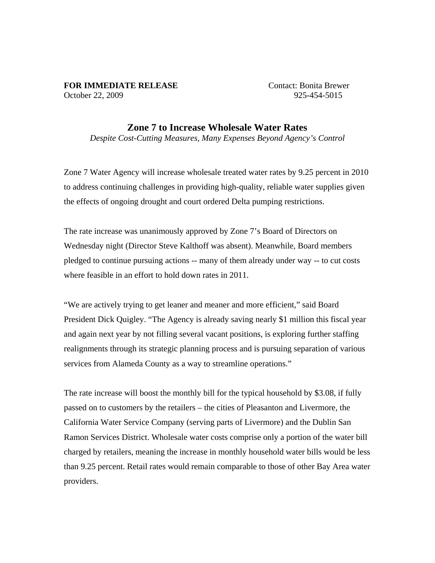## **FOR IMMEDIATE RELEASE** Contact: Bonita Brewer October 22, 2009 925-454-5015

## **Zone 7 to Increase Wholesale Water Rates**

*Despite Cost-Cutting Measures, Many Expenses Beyond Agency's Control* 

Zone 7 Water Agency will increase wholesale treated water rates by 9.25 percent in 2010 to address continuing challenges in providing high-quality, reliable water supplies given the effects of ongoing drought and court ordered Delta pumping restrictions.

The rate increase was unanimously approved by Zone 7's Board of Directors on Wednesday night (Director Steve Kalthoff was absent). Meanwhile, Board members pledged to continue pursuing actions -- many of them already under way -- to cut costs where feasible in an effort to hold down rates in 2011.

"We are actively trying to get leaner and meaner and more efficient," said Board President Dick Quigley. "The Agency is already saving nearly \$1 million this fiscal year and again next year by not filling several vacant positions, is exploring further staffing realignments through its strategic planning process and is pursuing separation of various services from Alameda County as a way to streamline operations."

The rate increase will boost the monthly bill for the typical household by \$3.08, if fully passed on to customers by the retailers – the cities of Pleasanton and Livermore, the California Water Service Company (serving parts of Livermore) and the Dublin San Ramon Services District. Wholesale water costs comprise only a portion of the water bill charged by retailers, meaning the increase in monthly household water bills would be less than 9.25 percent. Retail rates would remain comparable to those of other Bay Area water providers.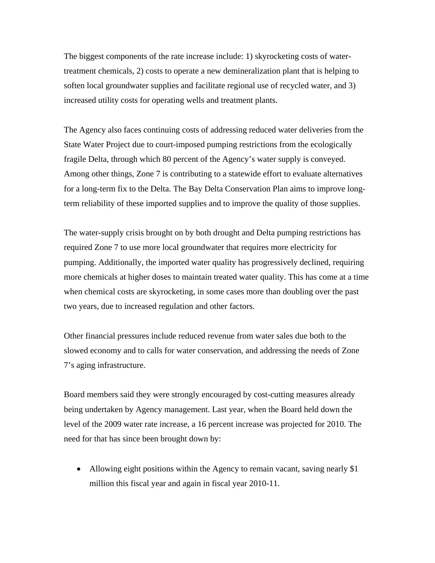The biggest components of the rate increase include: 1) skyrocketing costs of watertreatment chemicals, 2) costs to operate a new demineralization plant that is helping to soften local groundwater supplies and facilitate regional use of recycled water, and 3) increased utility costs for operating wells and treatment plants.

The Agency also faces continuing costs of addressing reduced water deliveries from the State Water Project due to court-imposed pumping restrictions from the ecologically fragile Delta, through which 80 percent of the Agency's water supply is conveyed. Among other things, Zone 7 is contributing to a statewide effort to evaluate alternatives for a long-term fix to the Delta. The Bay Delta Conservation Plan aims to improve longterm reliability of these imported supplies and to improve the quality of those supplies.

The water-supply crisis brought on by both drought and Delta pumping restrictions has required Zone 7 to use more local groundwater that requires more electricity for pumping. Additionally, the imported water quality has progressively declined, requiring more chemicals at higher doses to maintain treated water quality. This has come at a time when chemical costs are skyrocketing, in some cases more than doubling over the past two years, due to increased regulation and other factors.

Other financial pressures include reduced revenue from water sales due both to the slowed economy and to calls for water conservation, and addressing the needs of Zone 7's aging infrastructure.

Board members said they were strongly encouraged by cost-cutting measures already being undertaken by Agency management. Last year, when the Board held down the level of the 2009 water rate increase, a 16 percent increase was projected for 2010. The need for that has since been brought down by:

• Allowing eight positions within the Agency to remain vacant, saving nearly \$1 million this fiscal year and again in fiscal year 2010-11.